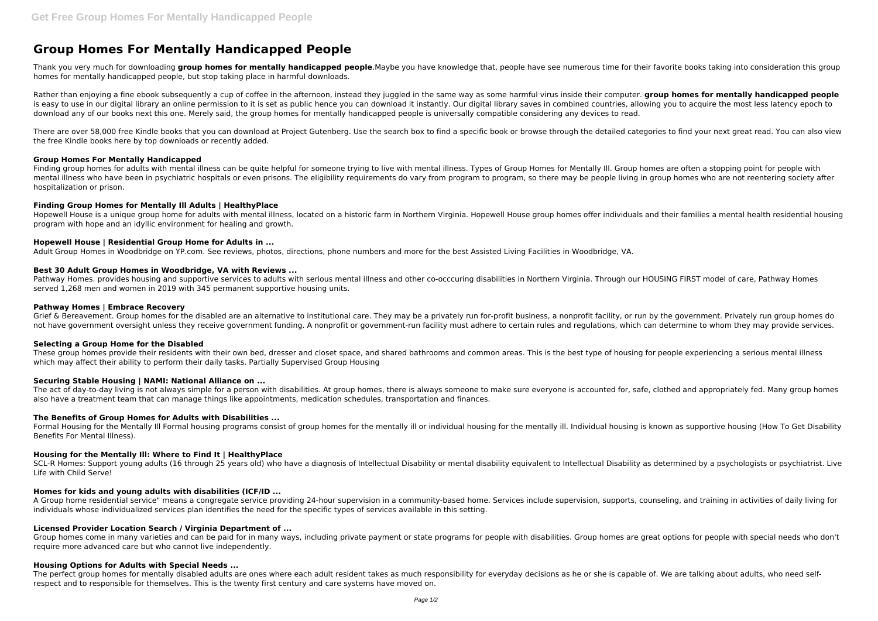# **Group Homes For Mentally Handicapped People**

Thank you very much for downloading group homes for mentally handicapped people.Maybe you have knowledge that, people have see numerous time for their favorite books taking into consideration this group homes for mentally handicapped people, but stop taking place in harmful downloads.

Rather than enjoying a fine ebook subsequently a cup of coffee in the afternoon, instead they juggled in the same way as some harmful virus inside their computer. **group homes for mentally handicapped people** is easy to use in our digital library an online permission to it is set as public hence you can download it instantly. Our digital library saves in combined countries, allowing you to acquire the most less latency epoch to download any of our books next this one. Merely said, the group homes for mentally handicapped people is universally compatible considering any devices to read.

There are over 58,000 free Kindle books that you can download at Project Gutenberg. Use the search box to find a specific book or browse through the detailed categories to find your next great read. You can also view the free Kindle books here by top downloads or recently added.

Finding group homes for adults with mental illness can be quite helpful for someone trying to live with mental illness. Types of Group Homes for Mentally Ill. Group homes are often a stopping point for people with mental illness who have been in psychiatric hospitals or even prisons. The eligibility requirements do vary from program to program, so there may be people living in group homes who are not reentering society after hospitalization or prison.

# **Group Homes For Mentally Handicapped**

Pathway Homes, provides housing and supportive services to adults with serious mental illness and other co-occcuring disabilities in Northern Virginia. Through our HOUSING FIRST model of care. Pathway Homes served 1,268 men and women in 2019 with 345 permanent supportive housing units.

Grief & Bereavement. Group homes for the disabled are an alternative to institutional care. They may be a privately run for-profit business, a nonprofit facility, or run by the government. Privately run group homes do not have government oversight unless they receive government funding. A nonprofit or government-run facility must adhere to certain rules and regulations, which can determine to whom they may provide services.

These group homes provide their residents with their own bed, dresser and closet space, and shared bathrooms and common areas. This is the best type of housing for people experiencing a serious mental illness which may affect their ability to perform their daily tasks. Partially Supervised Group Housing

# **Finding Group Homes for Mentally Ill Adults | HealthyPlace**

The act of day-to-day living is not always simple for a person with disabilities. At group homes, there is always someone to make sure everyone is accounted for, safe, clothed and appropriately fed. Many group homes also have a treatment team that can manage things like appointments, medication schedules, transportation and finances.

Hopewell House is a unique group home for adults with mental illness, located on a historic farm in Northern Virginia. Hopewell House group homes offer individuals and their families a mental health residential housing program with hope and an idyllic environment for healing and growth.

# **Hopewell House | Residential Group Home for Adults in ...**

Adult Group Homes in Woodbridge on YP.com. See reviews, photos, directions, phone numbers and more for the best Assisted Living Facilities in Woodbridge, VA.

SCL-R Homes: Support young adults (16 through 25 years old) who have a diagnosis of Intellectual Disability or mental disability equivalent to Intellectual Disability as determined by a psychologists or psychiatrist. Live Life with Child Serve!

# **Best 30 Adult Group Homes in Woodbridge, VA with Reviews ...**

# **Pathway Homes | Embrace Recovery**

The perfect group homes for mentally disabled adults are ones where each adult resident takes as much responsibility for everyday decisions as he or she is capable of. We are talking about adults, who need selfrespect and to responsible for themselves. This is the twenty first century and care systems have moved on.

# **Selecting a Group Home for the Disabled**

# **Securing Stable Housing | NAMI: National Alliance on ...**

# **The Benefits of Group Homes for Adults with Disabilities ...**

Formal Housing for the Mentally Ill Formal housing programs consist of group homes for the mentally ill or individual housing for the mentally ill. Individual housing is known as supportive housing (How To Get Disability Benefits For Mental Illness).

# **Housing for the Mentally Ill: Where to Find It | HealthyPlace**

# **Homes for kids and young adults with disabilities (ICF/ID ...**

A Group home residential service" means a congregate service providing 24-hour supervision in a community-based home. Services include supervision, supports, counseling, and training in activities of daily living for individuals whose individualized services plan identifies the need for the specific types of services available in this setting.

# **Licensed Provider Location Search / Virginia Department of ...**

Group homes come in many varieties and can be paid for in many ways, including private payment or state programs for people with disabilities. Group homes are great options for people with special needs who don't require more advanced care but who cannot live independently.

# **Housing Options for Adults with Special Needs ...**